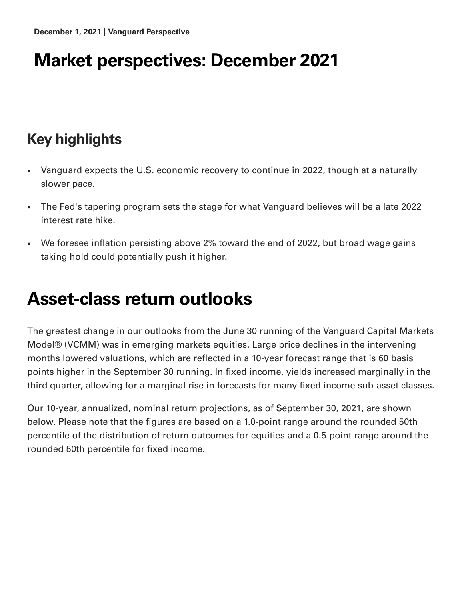## **Market perspectives: December 2021**

### **Key highlights**

- Vanguard expects the U.S. economic recovery to continue in 2022, though at a naturally  $\bullet$ slower pace.
- The Fed's tapering program sets the stage for what Vanguard believes will be a late 2022  $\bullet$ interest rate hike.
- We foresee inflation persisting above 2% toward the end of 2022, but broad wage gains  $\bullet$ taking hold could potentially push it higher.

## **Asset-class return outlooks**

The greatest change in our outlooks from the June 30 running of the Vanguard Capital Markets Model® (VCMM) was in emerging markets equities. Large price declines in the intervening months lowered valuations, which are reflected in a 10-year forecast range that is 60 basis points higher in the September 30 running. In fixed income, yields increased marginally in the third quarter, allowing for a marginal rise in forecasts for many fixed income sub-asset classes.

Our 10-year, annualized, nominal return projections, as of September 30, 2021, are shown below. Please note that the figures are based on a 1.0-point range around the rounded 50th percentile of the distribution of return outcomes for equities and a 0.5-point range around the rounded 50th percentile for fixed income.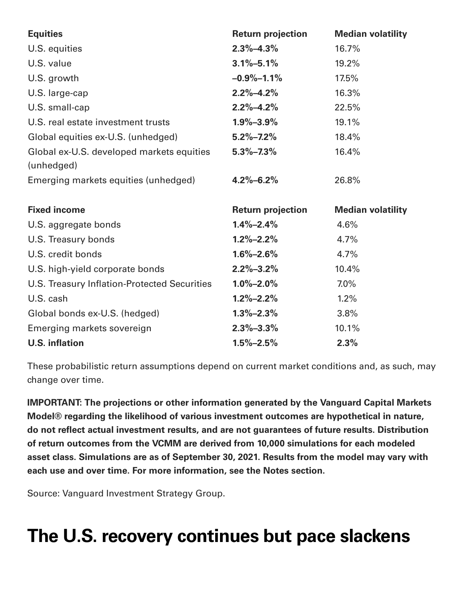| <b>Equities</b>                              | <b>Return projection</b> | <b>Median volatility</b> |
|----------------------------------------------|--------------------------|--------------------------|
| U.S. equities                                | $2.3\% - 4.3\%$          | 16.7%                    |
| U.S. value                                   | $3.1\% - 5.1\%$          | 19.2%                    |
| U.S. growth                                  | $-0.9% -1.1%$            | 17.5%                    |
| U.S. large-cap                               | $2.2\% - 4.2\%$          | 16.3%                    |
| U.S. small-cap                               | $2.2\% - 4.2\%$          | 22.5%                    |
| U.S. real estate investment trusts           | $1.9\% - 3.9\%$          | 19.1%                    |
| Global equities ex-U.S. (unhedged)           | $5.2\% - 7.2\%$          | 18.4%                    |
| Global ex-U.S. developed markets equities    | $5.3\% - 7.3\%$          | 16.4%                    |
| (unhedged)                                   |                          |                          |
| Emerging markets equities (unhedged)         | $4.2\% - 6.2\%$          | 26.8%                    |
|                                              |                          |                          |
|                                              |                          |                          |
| <b>Fixed income</b>                          | <b>Return projection</b> | <b>Median volatility</b> |
| U.S. aggregate bonds                         | $1.4\% - 2.4\%$          | 4.6%                     |
| U.S. Treasury bonds                          | $1.2\% - 2.2\%$          | 4.7%                     |
| U.S. credit bonds                            | $1.6\% - 2.6\%$          | 4.7%                     |
| U.S. high-yield corporate bonds              | $2.2\% - 3.2\%$          | 10.4%                    |
| U.S. Treasury Inflation-Protected Securities | $1.0\% - 2.0\%$          | 7.0%                     |
| U.S. cash                                    | $1.2\% - 2.2\%$          | 1.2%                     |
| Global bonds ex-U.S. (hedged)                | $1.3\% - 2.3\%$          | 3.8%                     |
| Emerging markets sovereign                   | $2.3\% - 3.3\%$          | 10.1%                    |

These probabilistic return assumptions depend on current market conditions and, as such, may change over time.

**IMPORTANT: The projections or other information generated by the Vanguard Capital Markets Model® regarding the likelihood of various investment outcomes are hypothetical in nature, do not reflect actual investment results, and are not guarantees of future results. Distribution of return outcomes from the VCMM are derived from 10,000 simulations for each modeled asset class. Simulations are as of September 30, 2021. Results from the model may vary with each use and over time. For more information, see the Notes section.**

Source: Vanguard Investment Strategy Group.

# **The U.S. recovery continues but pace slackens**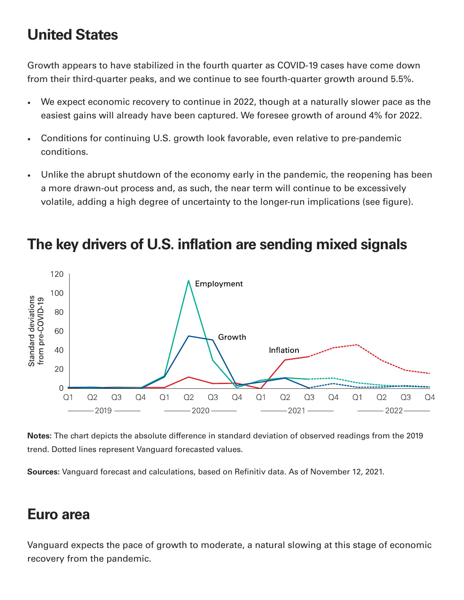### **United States**

Growth appears to have stabilized in the fourth quarter as COVID-19 cases have come down from their third-quarter peaks, and we continue to see fourth-quarter growth around 5.5%.

- We expect economic recovery to continue in 2022, though at a naturally slower pace as the  $\bullet$ easiest gains will already have been captured. We foresee growth of around 4% for 2022.
- Conditions for continuing U.S. growth look favorable, even relative to pre-pandemic  $\bullet$ conditions.
- Unlike the abrupt shutdown of the economy early in the pandemic, the reopening has been  $\bullet$ a more drawn-out process and, as such, the near term will continue to be excessively volatile, adding a high degree of uncertainty to the longer-run implications (see figure).



#### **The key drivers of U.S. inflation are sending mixed signals**

**Notes:** The chart depicts the absolute difference in standard deviation of observed readings from the 2019 trend. Dotted lines represent Vanguard forecasted values.

**Sources:** Vanguard forecast and calculations, based on Refinitiv data. As of November 12, 2021.

#### **Euro area**

Vanguard expects the pace of growth to moderate, a natural slowing at this stage of economic recovery from the pandemic.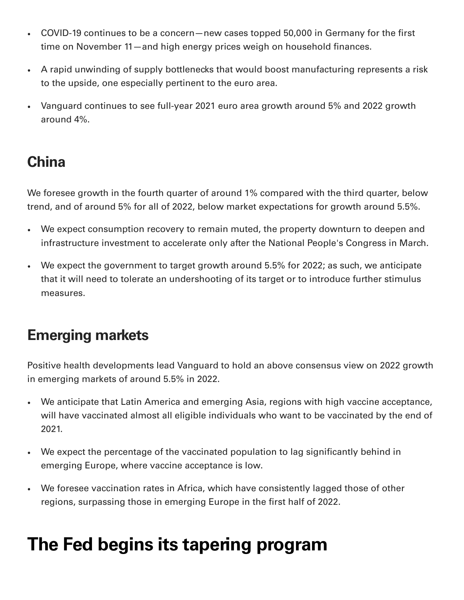- COVID-19 continues to be a concern—new cases topped 50,000 in Germany for the first  $\bullet$ time on November 11—and high energy prices weigh on household finances.
- A rapid unwinding of supply bottlenecks that would boost manufacturing represents a risk to the upside, one especially pertinent to the euro area.
- Vanguard continues to see full-year 2021 euro area growth around 5% and 2022 growth around 4%.

#### **China**

We foresee growth in the fourth quarter of around 1% compared with the third quarter, below trend, and of around 5% for all of 2022, below market expectations for growth around 5.5%.

- We expect consumption recovery to remain muted, the property downturn to deepen and infrastructure investment to accelerate only after the National People's Congress in March.
- We expect the government to target growth around 5.5% for 2022; as such, we anticipate that it will need to tolerate an undershooting of its target or to introduce further stimulus measures.

#### **Emerging markets**

Positive health developments lead Vanguard to hold an above consensus view on 2022 growth in emerging markets of around 5.5% in 2022.

- We anticipate that Latin America and emerging Asia, regions with high vaccine acceptance, will have vaccinated almost all eligible individuals who want to be vaccinated by the end of 2021.
- We expect the percentage of the vaccinated population to lag significantly behind in emerging Europe, where vaccine acceptance is low.
- We foresee vaccination rates in Africa, which have consistently lagged those of other regions, surpassing those in emerging Europe in the first half of 2022.

# **The Fed begins its tapering program**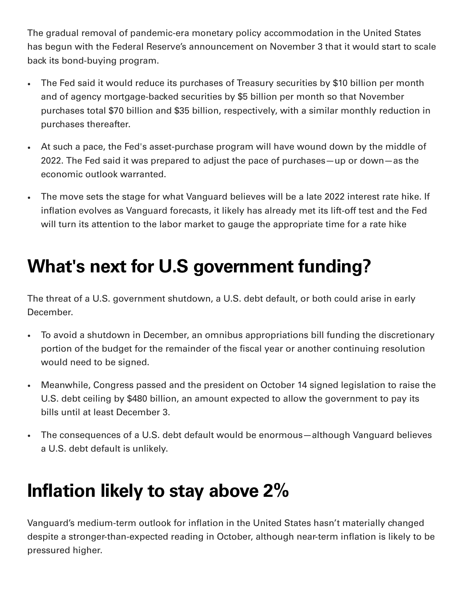The gradual removal of pandemic-era monetary policy accommodation in the United States has begun with the Federal Reserve's announcement on November 3 that it would start to scale back its bond-buying program.

- The Fed said it would reduce its purchases of Treasury securities by \$10 billion per month  $\bullet$ and of agency mortgage-backed securities by \$5 billion per month so that November purchases total \$70 billion and \$35 billion, respectively, with a similar monthly reduction in purchases thereafter.
- At such a pace, the Fed's asset-purchase program will have wound down by the middle of 2022. The Fed said it was prepared to adjust the pace of purchases—up or down—as the economic outlook warranted.
- The move sets the stage for what Vanguard believes will be a late 2022 interest rate hike. If  $\bullet$ inflation evolves as Vanguard forecasts, it likely has already met its lift-off test and the Fed will turn its attention to the labor market to gauge the appropriate time for a rate hike

# **What's next for U.S government funding?**

The threat of a U.S. government shutdown, a U.S. debt default, or both could arise in early December.

- To avoid a shutdown in December, an omnibus appropriations bill funding the discretionary  $\bullet$ portion of the budget for the remainder of the fiscal year or another continuing resolution would need to be signed.
- Meanwhile, Congress passed and the president on October 14 signed legislation to raise the  $\bullet$ U.S. debt ceiling by \$480 billion, an amount expected to allow the government to pay its bills until at least December 3.
- The consequences of a U.S. debt default would be enormous—although Vanguard believes  $\bullet$ a U.S. debt default is unlikely.

## **Inflation likely to stay above 2%**

Vanguard's medium-term outlook for inflation in the United States hasn't materially changed despite a stronger-than-expected reading in October, although near-term inflation is likely to be pressured higher.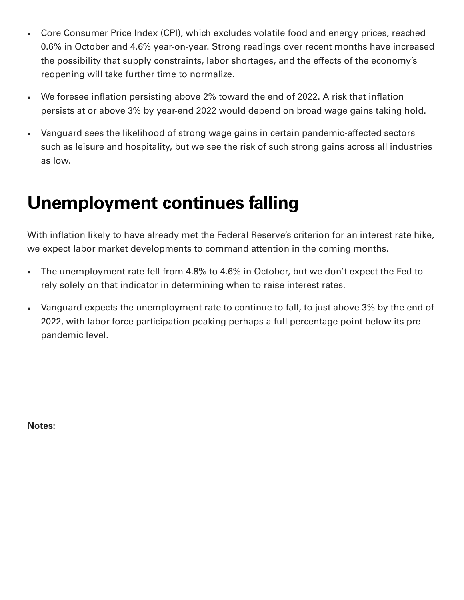- Core Consumer Price Index (CPI), which excludes volatile food and energy prices, reached  $\bullet$ 0.6% in October and 4.6% year-on-year. Strong readings over recent months have increased the possibility that supply constraints, labor shortages, and the effects of the economy's reopening will take further time to normalize.
- We foresee inflation persisting above 2% toward the end of 2022. A risk that inflation  $\bullet$ persists at or above 3% by year-end 2022 would depend on broad wage gains taking hold.
- Vanguard sees the likelihood of strong wage gains in certain pandemic-affected sectors  $\bullet$ such as leisure and hospitality, but we see the risk of such strong gains across all industries as low.

### **Unemployment continues falling**

With inflation likely to have already met the Federal Reserve's criterion for an interest rate hike, we expect labor market developments to command attention in the coming months.

- The unemployment rate fell from 4.8% to 4.6% in October, but we don't expect the Fed to  $\bullet$ rely solely on that indicator in determining when to raise interest rates.
- Vanguard expects the unemployment rate to continue to fall, to just above 3% by the end of 2022, with labor-force participation peaking perhaps a full percentage point below its prepandemic level.

**Notes:**